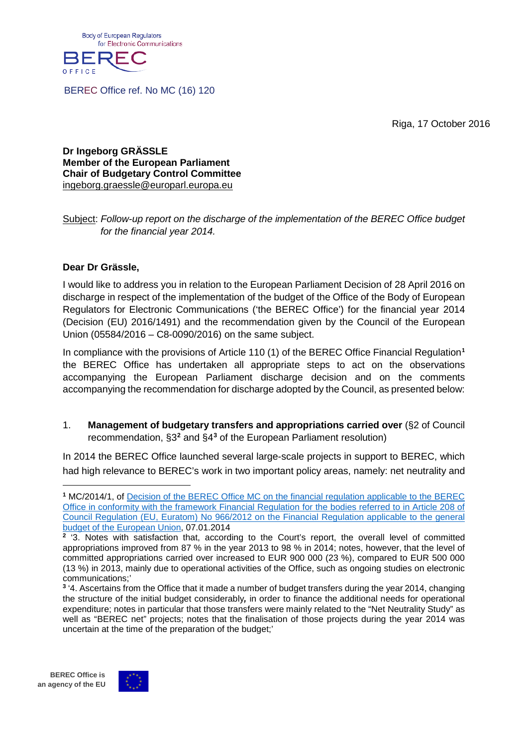

BEREC Office ref. No MC (16) 120

Riga, 17 October 2016

**Dr Ingeborg GRÄSSLE Member of the European Parliament Chair of Budgetary Control Committee** [ingeborg.graessle@europarl.europa.eu](mailto:ingeborg.graessle@europarl.europa.eu)

#### Subject: *Follow-up report on the discharge of the implementation of the BEREC Office budget for the financial year 2014.*

#### **Dear Dr Grässle,**

I would like to address you in relation to the European Parliament Decision of 28 April 2016 on discharge in respect of the implementation of the budget of the Office of the Body of European Regulators for Electronic Communications ('the BEREC Office') for the financial year 2014 (Decision (EU) 2016/1491) and the recommendation given by the Council of the European Union (05584/2016 – C8-0090/2016) on the same subject.

In compliance with the provisions of Article 110 (1) of the BEREC Office Financial Regulation**[1](#page-0-0)** the BEREC Office has undertaken all appropriate steps to act on the observations accompanying the European Parliament discharge decision and on the comments accompanying the recommendation for discharge adopted by the Council, as presented below:

1. **Management of budgetary transfers and appropriations carried over** (§2 of Council recommendation, §3**[2](#page-0-1)** and §4**[3](#page-0-2)** of the European Parliament resolution)

In 2014 the BEREC Office launched several large-scale projects in support to BEREC, which had high relevance to BEREC's work in two important policy areas, namely: net neutrality and



<span id="page-0-0"></span>**<sup>1</sup>** MC/2014/1, of [Decision of the BEREC Office MC on the financial regulation applicable to the BEREC](http://www.berec.europa.eu/eng/document_register/subject_matter/berec_office/decisions_of_the_management_committee/3976-decision-of-the-berec-office-mc-on-the-financial-regulation-applicable-to-the-berec-office-in-conformity-with-the-framework-financial-regulation-for-the-bodies-referred-to-in-article-208-of-council-regulation-eu-euratom-no-9662012-on-the-financial-regulation-applicable-to-the-general-budget-of-the-european-union-hereinafter-the-general-financial-regulation)  [Office in conformity with the framework Financial Regulation for the bodies referred to in Article 208 of](http://www.berec.europa.eu/eng/document_register/subject_matter/berec_office/decisions_of_the_management_committee/3976-decision-of-the-berec-office-mc-on-the-financial-regulation-applicable-to-the-berec-office-in-conformity-with-the-framework-financial-regulation-for-the-bodies-referred-to-in-article-208-of-council-regulation-eu-euratom-no-9662012-on-the-financial-regulation-applicable-to-the-general-budget-of-the-european-union-hereinafter-the-general-financial-regulation)  [Council Regulation \(EU, Euratom\) No 966/2012 on the Financial Regulation applicable to the general](http://www.berec.europa.eu/eng/document_register/subject_matter/berec_office/decisions_of_the_management_committee/3976-decision-of-the-berec-office-mc-on-the-financial-regulation-applicable-to-the-berec-office-in-conformity-with-the-framework-financial-regulation-for-the-bodies-referred-to-in-article-208-of-council-regulation-eu-euratom-no-9662012-on-the-financial-regulation-applicable-to-the-general-budget-of-the-european-union-hereinafter-the-general-financial-regulation)  [budget of the European Union,](http://www.berec.europa.eu/eng/document_register/subject_matter/berec_office/decisions_of_the_management_committee/3976-decision-of-the-berec-office-mc-on-the-financial-regulation-applicable-to-the-berec-office-in-conformity-with-the-framework-financial-regulation-for-the-bodies-referred-to-in-article-208-of-council-regulation-eu-euratom-no-9662012-on-the-financial-regulation-applicable-to-the-general-budget-of-the-european-union-hereinafter-the-general-financial-regulation) 07.01.2014

<span id="page-0-1"></span><sup>&</sup>lt;sup>2</sup> '3. Notes with satisfaction that, according to the Court's report, the overall level of committed appropriations improved from 87 % in the year 2013 to 98 % in 2014; notes, however, that the level of committed appropriations carried over increased to EUR 900 000 (23 %), compared to EUR 500 000 (13 %) in 2013, mainly due to operational activities of the Office, such as ongoing studies on electronic communications;'

<span id="page-0-2"></span>**<sup>3</sup>** '4. Ascertains from the Office that it made a number of budget transfers during the year 2014, changing the structure of the initial budget considerably*,* in order to finance the additional needs for operational expenditure; notes in particular that those transfers were mainly related to the "Net Neutrality Study" as well as "BEREC net" projects; notes that the finalisation of those projects during the year 2014 was uncertain at the time of the preparation of the budget;'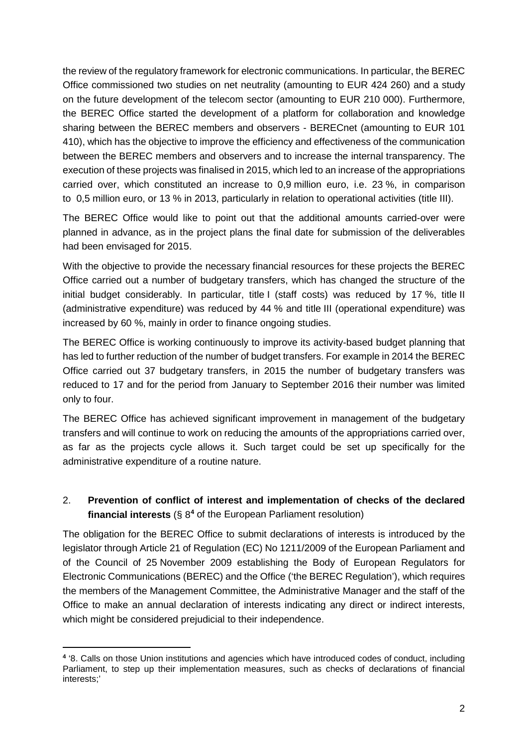the review of the regulatory framework for electronic communications. In particular, the BEREC Office commissioned two studies on net neutrality (amounting to EUR 424 260) and a study on the future development of the telecom sector (amounting to EUR 210 000). Furthermore, the BEREC Office started the development of a platform for collaboration and knowledge sharing between the BEREC members and observers - BERECnet (amounting to EUR 101 410), which has the objective to improve the efficiency and effectiveness of the communication between the BEREC members and observers and to increase the internal transparency. The execution of these projects was finalised in 2015, which led to an increase of the appropriations carried over, which constituted an increase to 0,9 million euro, i.e. 23 %, in comparison to 0,5 million euro, or 13 % in 2013, particularly in relation to operational activities (title III).

The BEREC Office would like to point out that the additional amounts carried-over were planned in advance, as in the project plans the final date for submission of the deliverables had been envisaged for 2015.

With the objective to provide the necessary financial resources for these projects the BEREC Office carried out a number of budgetary transfers, which has changed the structure of the initial budget considerably. In particular, title I (staff costs) was reduced by 17 %, title II (administrative expenditure) was reduced by 44 % and title III (operational expenditure) was increased by 60 %, mainly in order to finance ongoing studies.

The BEREC Office is working continuously to improve its activity-based budget planning that has led to further reduction of the number of budget transfers. For example in 2014 the BEREC Office carried out 37 budgetary transfers, in 2015 the number of budgetary transfers was reduced to 17 and for the period from January to September 2016 their number was limited only to four.

The BEREC Office has achieved significant improvement in management of the budgetary transfers and will continue to work on reducing the amounts of the appropriations carried over, as far as the projects cycle allows it. Such target could be set up specifically for the administrative expenditure of a routine nature.

# 2. **Prevention of conflict of interest and implementation of checks of the declared financial interests** (§ 8**[4](#page-1-0)** of the European Parliament resolution)

The obligation for the BEREC Office to submit declarations of interests is introduced by the legislator through Article 21 of Regulation (EC) No 1211/2009 of the European Parliament and of the Council of 25 November 2009 establishing the Body of European Regulators for Electronic Communications (BEREC) and the Office ('the BEREC Regulation'), which requires the members of the Management Committee, the Administrative Manager and the staff of the Office to make an annual declaration of interests indicating any direct or indirect interests, which might be considered prejudicial to their independence.

<span id="page-1-0"></span>**<sup>4</sup>** '8. Calls on those Union institutions and agencies which have introduced codes of conduct, including Parliament, to step up their implementation measures, such as checks of declarations of financial interests;'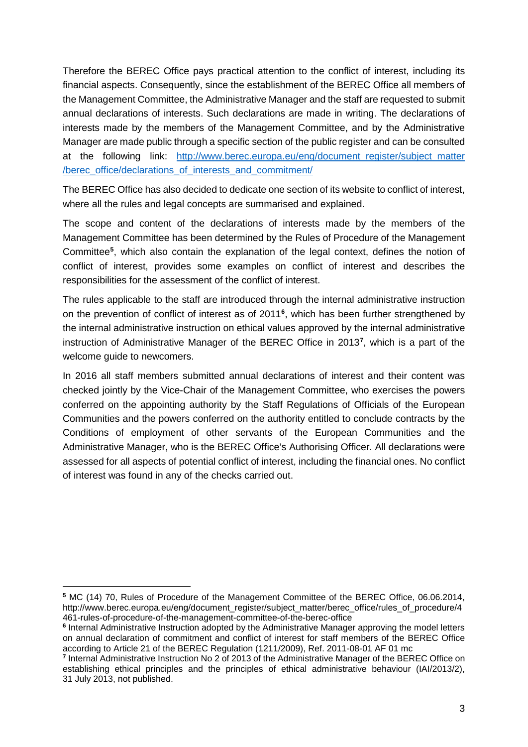Therefore the BEREC Office pays practical attention to the conflict of interest, including its financial aspects. Consequently, since the establishment of the BEREC Office all members of the Management Committee, the Administrative Manager and the staff are requested to submit annual declarations of interests. Such declarations are made in writing. The declarations of interests made by the members of the Management Committee, and by the Administrative Manager are made public through a specific section of the public register and can be consulted at the following link: http://www.berec.europa.eu/eng/document register/subject matter [/berec\\_office/declarations\\_of\\_interests\\_and\\_commitment/](http://www.berec.europa.eu/eng/document_register/subject_matter%20/berec_office/declarations_of_interests_and_commitment/)

The BEREC Office has also decided to dedicate one section of its website to conflict of interest, where all the rules and legal concepts are summarised and explained.

The scope and content of the declarations of interests made by the members of the Management Committee has been determined by the Rules of Procedure of the Management Committee**[5](#page-2-0)** , which also contain the explanation of the legal context, defines the notion of conflict of interest, provides some examples on conflict of interest and describes the responsibilities for the assessment of the conflict of interest.

The rules applicable to the staff are introduced through the internal administrative instruction on the prevention of conflict of interest as of 2011**[6](#page-2-1)** , which has been further strengthened by the internal administrative instruction on ethical values approved by the internal administrative instruction of Administrative Manager of the BEREC Office in 2013**[7](#page-2-2)** , which is a part of the welcome guide to newcomers.

In 2016 all staff members submitted annual declarations of interest and their content was checked jointly by the Vice-Chair of the Management Committee, who exercises the powers conferred on the appointing authority by the Staff Regulations of Officials of the European Communities and the powers conferred on the authority entitled to conclude contracts by the Conditions of employment of other servants of the European Communities and the Administrative Manager, who is the BEREC Office's Authorising Officer. All declarations were assessed for all aspects of potential conflict of interest, including the financial ones. No conflict of interest was found in any of the checks carried out.

 $\ddot{\phantom{a}}$ 

<span id="page-2-0"></span>**<sup>5</sup>** MC (14) 70, Rules of Procedure of the Management Committee of the BEREC Office, 06.06.2014, http://www.berec.europa.eu/eng/document\_register/subject\_matter/berec\_office/rules\_of\_procedure/4 461-rules-of-procedure-of-the-management-committee-of-the-berec-office

<span id="page-2-1"></span>**<sup>6</sup>** Internal Administrative Instruction adopted by the Administrative Manager approving the model letters on annual declaration of commitment and conflict of interest for staff members of the BEREC Office according to Article 21 of the BEREC Regulation (1211/2009), Ref. 2011-08-01 AF 01 mc

<span id="page-2-2"></span>**<sup>7</sup>** Internal Administrative Instruction No 2 of 2013 of the Administrative Manager of the BEREC Office on establishing ethical principles and the principles of ethical administrative behaviour (IAI/2013/2), 31 July 2013, not published.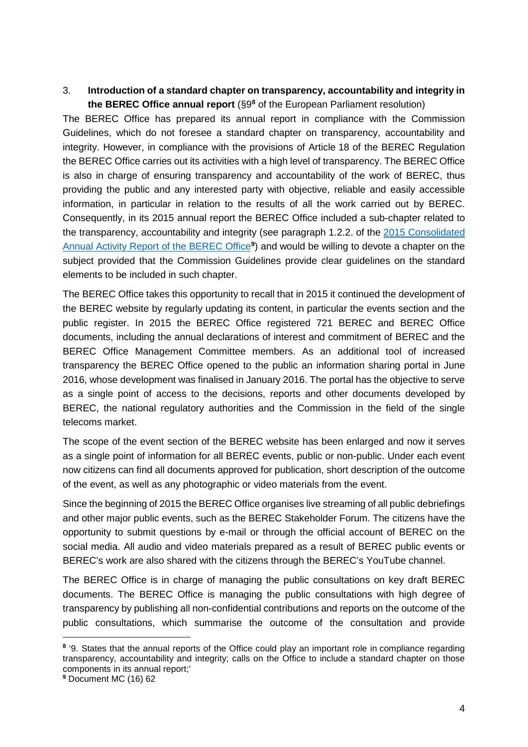## 3. **Introduction of a standard chapter on transparency, accountability and integrity in the BEREC Office annual report** (§9**[8](#page-3-0)** of the European Parliament resolution)

The BEREC Office has prepared its annual report in compliance with the Commission Guidelines, which do not foresee a standard chapter on transparency, accountability and integrity. However, in compliance with the provisions of Article 18 of the BEREC Regulation the BEREC Office carries out its activities with a high level of transparency. The BEREC Office is also in charge of ensuring transparency and accountability of the work of BEREC, thus providing the public and any interested party with objective, reliable and easily accessible information, in particular in relation to the results of all the work carried out by BEREC. Consequently, in its 2015 annual report the BEREC Office included a sub-chapter related to the transparency, accountability and integrity (see paragraph 1.2.2. of the [2015 Consolidated](http://www.berec.europa.eu/eng/document_register/subject_matter/berec_office/office_annual_activity_report/6084-2015-consolidated-annual-activity-report-of-the-berec-office)  [Annual Activity Report of the BEREC Office](http://www.berec.europa.eu/eng/document_register/subject_matter/berec_office/office_annual_activity_report/6084-2015-consolidated-annual-activity-report-of-the-berec-office)**[9](#page-3-1)** ) and would be willing to devote a chapter on the subject provided that the Commission Guidelines provide clear guidelines on the standard elements to be included in such chapter.

The BEREC Office takes this opportunity to recall that in 2015 it continued the development of the BEREC website by regularly updating its content, in particular the events section and the public register. In 2015 the BEREC Office registered 721 BEREC and BEREC Office documents, including the annual declarations of interest and commitment of BEREC and the BEREC Office Management Committee members. As an additional tool of increased transparency the BEREC Office opened to the public an information sharing portal in June 2016, whose development was finalised in January 2016. The portal has the objective to serve as a single point of access to the decisions, reports and other documents developed by BEREC, the national regulatory authorities and the Commission in the field of the single telecoms market.

The scope of the event section of the BEREC website has been enlarged and now it serves as a single point of information for all BEREC events, public or non-public. Under each event now citizens can find all documents approved for publication, short description of the outcome of the event, as well as any photographic or video materials from the event.

Since the beginning of 2015 the BEREC Office organises live streaming of all public debriefings and other major public events, such as the BEREC Stakeholder Forum. The citizens have the opportunity to submit questions by e-mail or through the official account of BEREC on the social media. All audio and video materials prepared as a result of BEREC public events or BEREC's work are also shared with the citizens through the BEREC's YouTube channel.

The BEREC Office is in charge of managing the public consultations on key draft BEREC documents. The BEREC Office is managing the public consultations with high degree of transparency by publishing all non-confidential contributions and reports on the outcome of the public consultations, which summarise the outcome of the consultation and provide

<span id="page-3-0"></span>**<sup>8</sup>** '9. States that the annual reports of the Office could play an important role in compliance regarding transparency, accountability and integrity; calls on the Office to include a standard chapter on those components in its annual report;'

<span id="page-3-1"></span>**<sup>9</sup>** Document MC (16) 62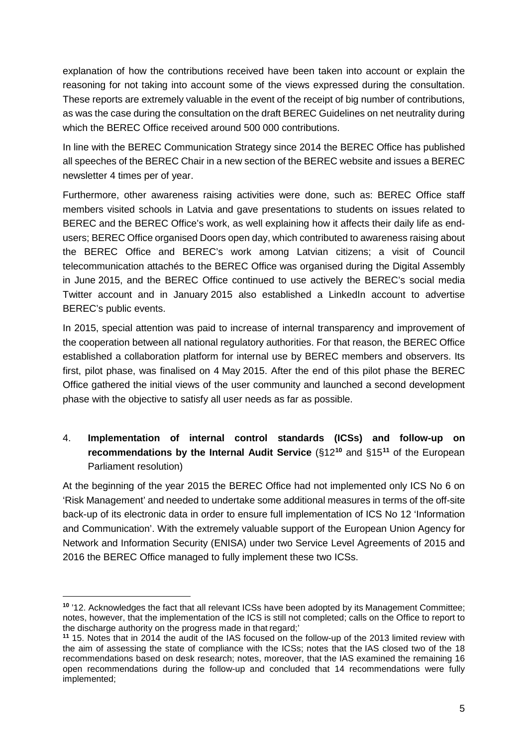explanation of how the contributions received have been taken into account or explain the reasoning for not taking into account some of the views expressed during the consultation. These reports are extremely valuable in the event of the receipt of big number of contributions, as was the case during the consultation on the draft BEREC Guidelines on net neutrality during which the BEREC Office received around 500 000 contributions.

In line with the BEREC Communication Strategy since 2014 the BEREC Office has published all speeches of the BEREC Chair in a new section of the BEREC website and issues a BEREC newsletter 4 times per of year.

Furthermore, other awareness raising activities were done, such as: BEREC Office staff members visited schools in Latvia and gave presentations to students on issues related to BEREC and the BEREC Office's work, as well explaining how it affects their daily life as endusers; BEREC Office organised Doors open day, which contributed to awareness raising about the BEREC Office and BEREC's work among Latvian citizens; a visit of Council telecommunication attachés to the BEREC Office was organised during the Digital Assembly in June 2015, and the BEREC Office continued to use actively the BEREC's social media Twitter account and in January 2015 also established a LinkedIn account to advertise BEREC's public events.

In 2015, special attention was paid to increase of internal transparency and improvement of the cooperation between all national regulatory authorities. For that reason, the BEREC Office established a collaboration platform for internal use by BEREC members and observers. Its first, pilot phase, was finalised on 4 May 2015. After the end of this pilot phase the BEREC Office gathered the initial views of the user community and launched a second development phase with the objective to satisfy all user needs as far as possible.

4. **Implementation of internal control standards (ICSs) and follow-up on recommendations by the Internal Audit Service** (§12**[10](#page-4-0)** and §15**[11](#page-4-1)** of the European Parliament resolution)

At the beginning of the year 2015 the BEREC Office had not implemented only ICS No 6 on 'Risk Management' and needed to undertake some additional measures in terms of the off-site back-up of its electronic data in order to ensure full implementation of ICS No 12 'Information and Communication'. With the extremely valuable support of the [European Union Agency for](https://en.wikipedia.org/wiki/European_Union_Agency_for_Network_and_Information_Security)  [Network and Information Security](https://en.wikipedia.org/wiki/European_Union_Agency_for_Network_and_Information_Security) (ENISA) under two Service Level Agreements of 2015 and 2016 the BEREC Office managed to fully implement these two ICSs.

 $\ddot{\phantom{a}}$ 

<span id="page-4-0"></span>**<sup>10</sup>** '12. Acknowledges the fact that all relevant ICSs have been adopted by its Management Committee; notes, however, that the implementation of the ICS is still not completed; calls on the Office to report to the discharge authority on the progress made in that regard;'

<span id="page-4-1"></span>**<sup>11</sup>** 15. Notes that in 2014 the audit of the IAS focused on the follow-up of the 2013 limited review with the aim of assessing the state of compliance with the ICSs; notes that the IAS closed two of the 18 recommendations based on desk research; notes, moreover, that the IAS examined the remaining 16 open recommendations during the follow-up and concluded that 14 recommendations were fully implemented;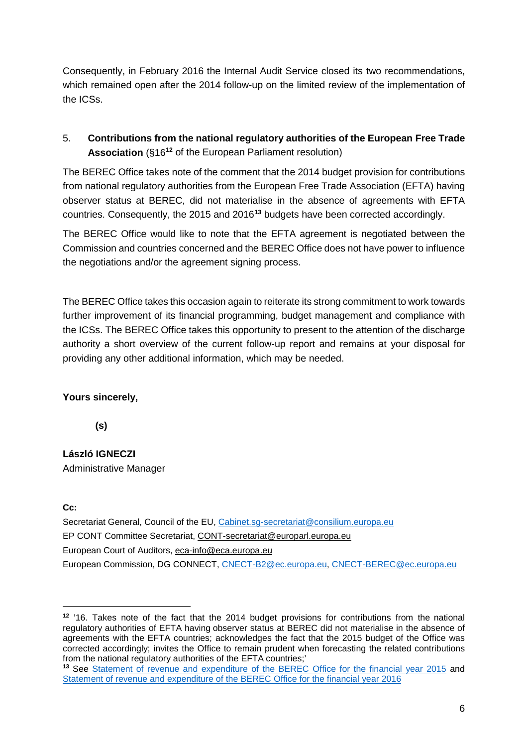Consequently, in February 2016 the Internal Audit Service closed its two recommendations, which remained open after the 2014 follow-up on the limited review of the implementation of the ICSs.

# 5. **Contributions from the national regulatory authorities of the European Free Trade Association** (§16**[12](#page-5-0)** of the European Parliament resolution)

The BEREC Office takes note of the comment that the 2014 budget provision for contributions from national regulatory authorities from the European Free Trade Association (EFTA) having observer status at BEREC, did not materialise in the absence of agreements with EFTA countries. Consequently, the 2015 and 2016**[13](#page-5-1)** budgets have been corrected accordingly.

The BEREC Office would like to note that the EFTA agreement is negotiated between the Commission and countries concerned and the BEREC Office does not have power to influence the negotiations and/or the agreement signing process.

The BEREC Office takes this occasion again to reiterate its strong commitment to work towards further improvement of its financial programming, budget management and compliance with the ICSs. The BEREC Office takes this opportunity to present to the attention of the discharge authority a short overview of the current follow-up report and remains at your disposal for providing any other additional information, which may be needed.

### **Yours sincerely,**

 **(s)**

**László IGNECZI** Administrative Manager

**Cc:**

 $\overline{a}$ 

Secretariat General, Council of the EU, [Cabinet.sg-secretariat@consilium.europa.eu](mailto:Cabinet.sg-secretariat@consilium.europa.eu) EP CONT Committee Secretariat, [CONT-secretariat@europarl.europa.eu](mailto:CONT-secretariat@europarl.europa.eu) European Court of Auditors, [eca-info@eca.europa.eu](mailto:eca-info@eca.europa.eu) European Commission, DG CONNECT, [CNECT-B2@ec.europa.eu,](mailto:CNECT-B2@ec.europa.eu) [CNECT-BEREC@ec.europa.eu](mailto:CNECT-BEREC@ec.europa.eu)

<span id="page-5-0"></span>**<sup>12</sup>** '16. Takes note of the fact that the 2014 budget provisions for contributions from the national regulatory authorities of EFTA having observer status at BEREC did not materialise in the absence of agreements with the EFTA countries; acknowledges the fact that the 2015 budget of the Office was corrected accordingly; invites the Office to remain prudent when forecasting the related contributions from the national regulatory authorities of the EFTA countries;'

<span id="page-5-1"></span>**<sup>13</sup>** See [Statement of revenue and expenditure of the BEREC Office for the financial year 2015](http://berec.europa.eu/eng/document_register/subject_matter/berec/download/0/4980-statement-of-revenue-and-expenditure-of-_0.pdf) and [Statement of revenue and expenditure of the BEREC Office for the financial year 2016](http://www.berec.europa.eu/files/document_register_store/2016/3/2016_C_113_33_BEREC_Office__budget_2016.pdf)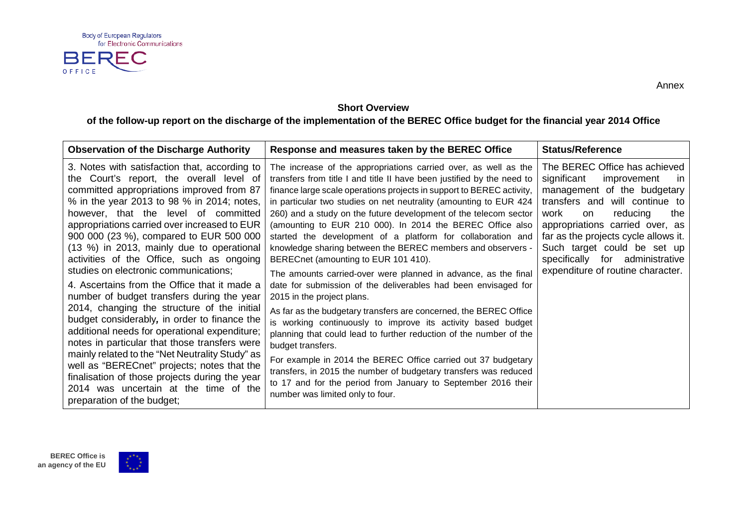

**Short Overview**

**of the follow-up report on the discharge of the implementation of the BEREC Office budget for the financial year 2014 Office**

| <b>Observation of the Discharge Authority</b>                                                                                                                                                                                                                                                                                                                                                                                                                                                                                                                                                                                                                                                                                                                                                                                                                                                                                                                                        | Response and measures taken by the BEREC Office                                                                                                                                                                                                                                                                                                                                                                                                                                                                                                                                                                                                                                                                                                                                                                                                                                                                                                                                                                                                                                                                                                                                                                                            | <b>Status/Reference</b>                                                                                                                                                                                                                                                                                                                                |
|--------------------------------------------------------------------------------------------------------------------------------------------------------------------------------------------------------------------------------------------------------------------------------------------------------------------------------------------------------------------------------------------------------------------------------------------------------------------------------------------------------------------------------------------------------------------------------------------------------------------------------------------------------------------------------------------------------------------------------------------------------------------------------------------------------------------------------------------------------------------------------------------------------------------------------------------------------------------------------------|--------------------------------------------------------------------------------------------------------------------------------------------------------------------------------------------------------------------------------------------------------------------------------------------------------------------------------------------------------------------------------------------------------------------------------------------------------------------------------------------------------------------------------------------------------------------------------------------------------------------------------------------------------------------------------------------------------------------------------------------------------------------------------------------------------------------------------------------------------------------------------------------------------------------------------------------------------------------------------------------------------------------------------------------------------------------------------------------------------------------------------------------------------------------------------------------------------------------------------------------|--------------------------------------------------------------------------------------------------------------------------------------------------------------------------------------------------------------------------------------------------------------------------------------------------------------------------------------------------------|
| 3. Notes with satisfaction that, according to<br>the Court's report, the overall level of<br>committed appropriations improved from 87<br>% in the year 2013 to 98 % in 2014; notes,<br>however, that the level of committed<br>appropriations carried over increased to EUR<br>900 000 (23 %), compared to EUR 500 000<br>(13 %) in 2013, mainly due to operational<br>activities of the Office, such as ongoing<br>studies on electronic communications;<br>4. Ascertains from the Office that it made a<br>number of budget transfers during the year<br>2014, changing the structure of the initial<br>budget considerably, in order to finance the<br>additional needs for operational expenditure;<br>notes in particular that those transfers were<br>mainly related to the "Net Neutrality Study" as<br>well as "BERECnet" projects; notes that the<br>finalisation of those projects during the year<br>2014 was uncertain at the time of the<br>preparation of the budget; | The increase of the appropriations carried over, as well as the<br>transfers from title I and title II have been justified by the need to<br>finance large scale operations projects in support to BEREC activity,<br>in particular two studies on net neutrality (amounting to EUR 424<br>260) and a study on the future development of the telecom sector<br>(amounting to EUR 210 000). In 2014 the BEREC Office also<br>started the development of a platform for collaboration and<br>knowledge sharing between the BEREC members and observers -<br>BERECnet (amounting to EUR 101 410).<br>The amounts carried-over were planned in advance, as the final<br>date for submission of the deliverables had been envisaged for<br>2015 in the project plans.<br>As far as the budgetary transfers are concerned, the BEREC Office<br>is working continuously to improve its activity based budget<br>planning that could lead to further reduction of the number of the<br>budget transfers.<br>For example in 2014 the BEREC Office carried out 37 budgetary<br>transfers, in 2015 the number of budgetary transfers was reduced<br>to 17 and for the period from January to September 2016 their<br>number was limited only to four. | The BEREC Office has achieved<br>significant<br>improvement<br>-in<br>management of the budgetary<br>transfers and will continue to<br>reducing<br>the<br>work<br>on<br>appropriations carried over, as<br>far as the projects cycle allows it.<br>Such target could be set up<br>specifically for administrative<br>expenditure of routine character. |



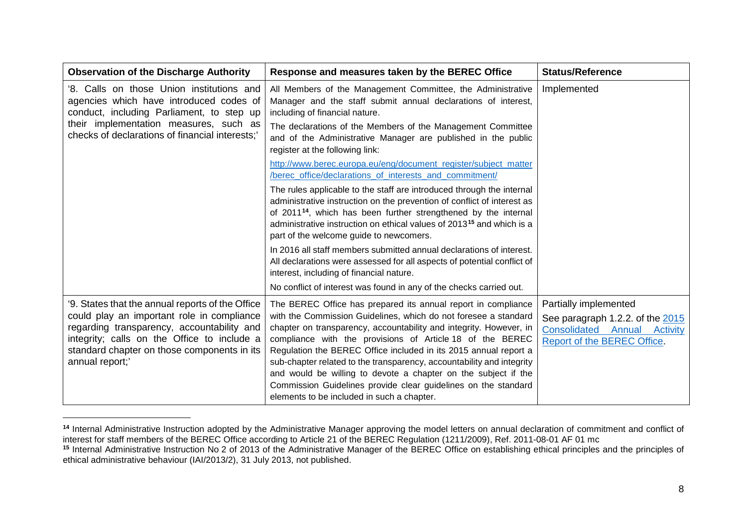<span id="page-7-1"></span><span id="page-7-0"></span>

| <b>Observation of the Discharge Authority</b>                                                                                                                                                                                                                 | Response and measures taken by the BEREC Office                                                                                                                                                                                                                                                                                                                                                                                                                                                                                                                                                                                                                                              | <b>Status/Reference</b>                                                                                                         |
|---------------------------------------------------------------------------------------------------------------------------------------------------------------------------------------------------------------------------------------------------------------|----------------------------------------------------------------------------------------------------------------------------------------------------------------------------------------------------------------------------------------------------------------------------------------------------------------------------------------------------------------------------------------------------------------------------------------------------------------------------------------------------------------------------------------------------------------------------------------------------------------------------------------------------------------------------------------------|---------------------------------------------------------------------------------------------------------------------------------|
| '8. Calls on those Union institutions and<br>agencies which have introduced codes of<br>conduct, including Parliament, to step up<br>their implementation measures, such as<br>checks of declarations of financial interests;                                 | All Members of the Management Committee, the Administrative<br>Manager and the staff submit annual declarations of interest,<br>including of financial nature.<br>The declarations of the Members of the Management Committee<br>and of the Administrative Manager are published in the public<br>register at the following link:                                                                                                                                                                                                                                                                                                                                                            | Implemented                                                                                                                     |
|                                                                                                                                                                                                                                                               | http://www.berec.europa.eu/eng/document register/subject matter<br>/berec_office/declarations_of_interests_and_commitment/<br>The rules applicable to the staff are introduced through the internal<br>administrative instruction on the prevention of conflict of interest as<br>of 2011 <sup>14</sup> , which has been further strengthened by the internal<br>administrative instruction on ethical values of 2013 <sup>15</sup> and which is a<br>part of the welcome guide to newcomers.<br>In 2016 all staff members submitted annual declarations of interest.<br>All declarations were assessed for all aspects of potential conflict of<br>interest, including of financial nature. |                                                                                                                                 |
| '9. States that the annual reports of the Office<br>could play an important role in compliance<br>regarding transparency, accountability and<br>integrity; calls on the Office to include a<br>standard chapter on those components in its<br>annual report;' | No conflict of interest was found in any of the checks carried out.<br>The BEREC Office has prepared its annual report in compliance<br>with the Commission Guidelines, which do not foresee a standard<br>chapter on transparency, accountability and integrity. However, in<br>compliance with the provisions of Article 18 of the BEREC<br>Regulation the BEREC Office included in its 2015 annual report a<br>sub-chapter related to the transparency, accountability and integrity<br>and would be willing to devote a chapter on the subject if the<br>Commission Guidelines provide clear guidelines on the standard<br>elements to be included in such a chapter.                    | Partially implemented<br>See paragraph 1.2.2. of the 2015<br><b>Consolidated Annual Activity</b><br>Report of the BEREC Office. |

<sup>&</sup>lt;sup>14</sup> Internal Administrative Instruction adopted by the Administrative Manager approving the model letters on annual declaration of commitment and conflict of interest for staff members of the BEREC Office according to Article 21 of the BEREC Regulation (1211/2009), Ref. 2011-08-01 AF 01 mc **<sup>15</sup>** Internal Administrative Instruction No 2 of 2013 of the Administrative Manager of the BEREC Office on establishing ethical principles and the principles of ethical administrative behaviour (IAI/2013/2), 31 July 2013, not published.